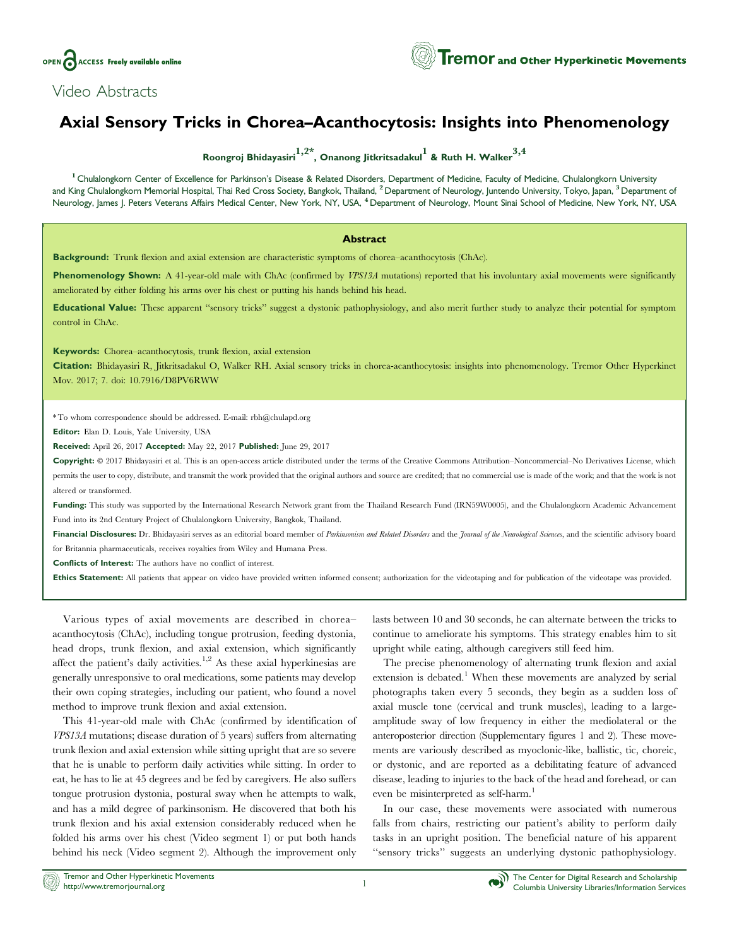

## Axial Sensory Tricks in Chorea–Acanthocytosis: Insights into Phenomenology

Roongroj Bhidayasiri<sup>1,2\*</sup>, Onanong Jitkritsadakul<sup>1</sup> & Ruth H. Walker<sup>3,4</sup>

<sup>1</sup> Chulalongkorn Center of Excellence for Parkinson's Disease & Related Disorders, Department of Medicine, Faculty of Medicine, Chulalongkorn University and King Chulalongkorn Memorial Hospital, Thai Red Cross Society, Bangkok, Thailand, <sup>2</sup> Department of Neurology, Juntendo University, Tokyo, Japan, <sup>3</sup> Department of Neurology, James J. Peters Veterans Affairs Medical Center, New York, NY, USA, <sup>4</sup> Department of Neurology, Mount Sinai School of Medicine, New York, NY, USA

## **Abstract**

Background: Trunk flexion and axial extension are characteristic symptoms of chorea–acanthocytosis (ChAc).

Phenomenology Shown: A 41-year-old male with ChAc (confirmed by VPS13A mutations) reported that his involuntary axial movements were significantly ameliorated by either folding his arms over his chest or putting his hands behind his head.

Educational Value: These apparent "sensory tricks" suggest a dystonic pathophysiology, and also merit further study to analyze their potential for symptom control in ChAc.

Keywords: Chorea–acanthocytosis, trunk flexion, axial extension

Citation: Bhidayasiri R, Jitkritsadakul O, Walker RH. Axial sensory tricks in chorea-acanthocytosis: insights into phenomenology. Tremor Other Hyperkinet Mov. 2017; 7. doi: [10.7916/D8PV6RWW](http://dx.doi.org/10.7916/D8PV6RWW)

\* To whom correspondence should be addressed. E-mail: [rbh@chulapd.org](mailto:rbh@chulapd.org)

Editor: Elan D. Louis, Yale University, USA

Received: April 26, 2017 Accepted: May 22, 2017 Published: June 29, 2017

Copyright: © 2017 Bhidayasiri et al. This is an open-access article distributed under the terms of the [Creative Commons Attribution–Noncommercial–No Derivatives License,](https://creativecommons.org/licenses/by-nc-nd/4.0/) which permits the user to copy, distribute, and transmit the work provided that the original authors and source are credited; that no commercial use is made of the work; and that the work is not altered or transformed.

Funding: This study was supported by the International Research Network grant from the Thailand Research Fund (IRN59W0005), and the Chulalongkorn Academic Advancement Fund into its 2nd Century Project of Chulalongkorn University, Bangkok, Thailand.

Financial Disclosures: Dr. Bhidayasiri serves as an editorial board member of Parkinsonism and Related Disorders and the Journal of the Neurological Sciences, and the scientific advisory board for Britannia pharmaceuticals, receives royalties from Wiley and Humana Press.

Conflicts of Interest: The authors have no conflict of interest.

Ethics Statement: All patients that appear on video have provided written informed consent; authorization for the videotaping and for publication of the videotape was provided.

Various types of axial movements are described in chorea– acanthocytosis (ChAc), including tongue protrusion, feeding dystonia, head drops, trunk flexion, and axial extension, which significantly affect the patient's daily activities.<sup>1,2</sup> As these axial hyperkinesias are generally unresponsive to oral medications, some patients may develop their own coping strategies, including our patient, who found a novel method to improve trunk flexion and axial extension.

This 41-year-old male with ChAc (confirmed by identification of VPS13A mutations; disease duration of 5 years) suffers from alternating trunk flexion and axial extension while sitting upright that are so severe that he is unable to perform daily activities while sitting. In order to eat, he has to lie at 45 degrees and be fed by caregivers. He also suffers tongue protrusion dystonia, postural sway when he attempts to walk, and has a mild degree of parkinsonism. He discovered that both his trunk flexion and his axial extension considerably reduced when he folded his arms over his chest ([Video segment 1\)](#page-1-0) or put both hands behind his neck ([Video segment 2\)](#page-1-0). Although the improvement only

lasts between 10 and 30 seconds, he can alternate between the tricks to continue to ameliorate his symptoms. This strategy enables him to sit upright while eating, although caregivers still feed him.

The precise phenomenology of alternating trunk flexion and axial extension is debated.<sup>1</sup> When these movements are analyzed by serial photographs taken every 5 seconds, they begin as a sudden loss of axial muscle tone (cervical and trunk muscles), leading to a largeamplitude sway of low frequency in either the mediolateral or the anteroposterior direction (Supplementary figures 1 and 2). These movements are variously described as myoclonic-like, ballistic, tic, choreic, or dystonic, and are reported as a debilitating feature of advanced disease, leading to injuries to the back of the head and forehead, or can even be misinterpreted as self-harm.<sup>1</sup>

In our case, these movements were associated with numerous falls from chairs, restricting our patient's ability to perform daily tasks in an upright position. The beneficial nature of his apparent ''sensory tricks'' suggests an underlying dystonic pathophysiology.